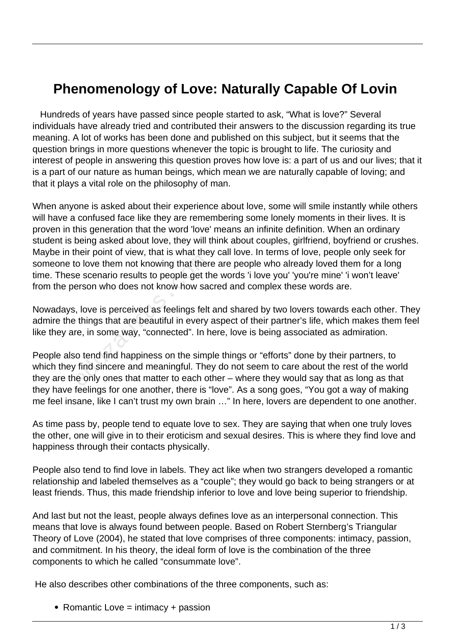## **Phenomenology of Love: Naturally Capable Of Lovin**

 Hundreds of years have passed since people started to ask, "What is love?" Several individuals have already tried and contributed their answers to the discussion regarding its true meaning. A lot of works has been done and published on this subject, but it seems that the question brings in more questions whenever the topic is brought to life. The curiosity and interest of people in answering this question proves how love is: a part of us and our lives; that it is a part of our nature as human beings, which mean we are naturally capable of loving; and that it plays a vital role on the philosophy of man.

When anyone is asked about their experience about love, some will smile instantly while others will have a confused face like they are remembering some lonely moments in their lives. It is proven in this generation that the word 'love' means an infinite definition. When an ordinary student is being asked about love, they will think about couples, girlfriend, boyfriend or crushes. Maybe in their point of view, that is what they call love. In terms of love, people only seek for someone to love them not knowing that there are people who already loved them for a long time. These scenario results to people get the words 'i love you' 'you're mine' 'i won't leave' from the person who does not know how sacred and complex these words are.

Nowadays, love is perceived as feelings felt and shared by two lovers towards each other. They admire the things that are beautiful in every aspect of their partner's life, which makes them feel like they are, in some way, "connected". In here, love is being associated as admiration.

People also tend find happiness on the simple things or "efforts" done by their partners, to which they find sincere and meaningful. They do not seem to care about the rest of the world they are the only ones that matter to each other – where they would say that as long as that they have feelings for one another, there is "love". As a song goes, "You got a way of making me feel insane, like I can't trust my own brain …" In here, lovers are dependent to one another. o love them not knowing that there<br>e scenario results to people get the<br>reson who does not know how sad<br>, love is perceived as feelings felt<br>things that are beautiful in every<br>re, in some way, "connected". In h<br>o tend find

As time pass by, people tend to equate love to sex. They are saying that when one truly loves the other, one will give in to their eroticism and sexual desires. This is where they find love and happiness through their contacts physically.

People also tend to find love in labels. They act like when two strangers developed a romantic relationship and labeled themselves as a "couple"; they would go back to being strangers or at least friends. Thus, this made friendship inferior to love and love being superior to friendship.

And last but not the least, people always defines love as an interpersonal connection. This means that love is always found between people. Based on Robert Sternberg's Triangular Theory of Love (2004), he stated that love comprises of three components: intimacy, passion, and commitment. In his theory, the ideal form of love is the combination of the three components to which he called "consummate love".

He also describes other combinations of the three components, such as:

• Romantic Love  $=$  intimacy  $+$  passion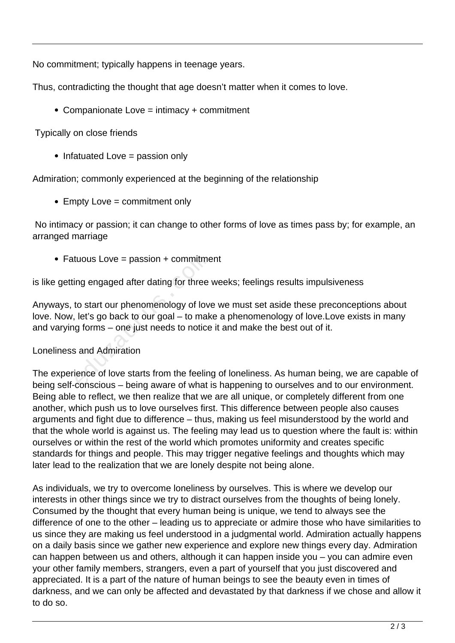No commitment; typically happens in teenage years.

Thus, contradicting the thought that age doesn't matter when it comes to love.

• Companionate Love = intimacy + commitment

Typically on close friends

 $\bullet$  Infatuated Love = passion only

Admiration; commonly experienced at the beginning of the relationship

• Empty Love = commitment only

 No intimacy or passion; it can change to other forms of love as times pass by; for example, an arranged marriage

 $\bullet$  Fatuous Love = passion + commitment

is like getting engaged after dating for three weeks; feelings results impulsiveness

Anyways, to start our phenomenology of love we must set aside these preconceptions about love. Now, let's go back to our goal – to make a phenomenology of love.Love exists in many and varying forms – one just needs to notice it and make the best out of it. tuous Love = passion + commitme<br>ng engaged after dating for three<br>to start our phenomenology of love<br>let's go back to our goal – to mak<br>g forms – one just needs to notice<br>and Admiration<br>ience of love starts from the feelin

## Loneliness and Admiration

The experience of love starts from the feeling of loneliness. As human being, we are capable of being self-conscious – being aware of what is happening to ourselves and to our environment. Being able to reflect, we then realize that we are all unique, or completely different from one another, which push us to love ourselves first. This difference between people also causes arguments and fight due to difference – thus, making us feel misunderstood by the world and that the whole world is against us. The feeling may lead us to question where the fault is: within ourselves or within the rest of the world which promotes uniformity and creates specific standards for things and people. This may trigger negative feelings and thoughts which may later lead to the realization that we are lonely despite not being alone.

As individuals, we try to overcome loneliness by ourselves. This is where we develop our interests in other things since we try to distract ourselves from the thoughts of being lonely. Consumed by the thought that every human being is unique, we tend to always see the difference of one to the other – leading us to appreciate or admire those who have similarities to us since they are making us feel understood in a judgmental world. Admiration actually happens on a daily basis since we gather new experience and explore new things every day. Admiration can happen between us and others, although it can happen inside you – you can admire even your other family members, strangers, even a part of yourself that you just discovered and appreciated. It is a part of the nature of human beings to see the beauty even in times of darkness, and we can only be affected and devastated by that darkness if we chose and allow it to do so.